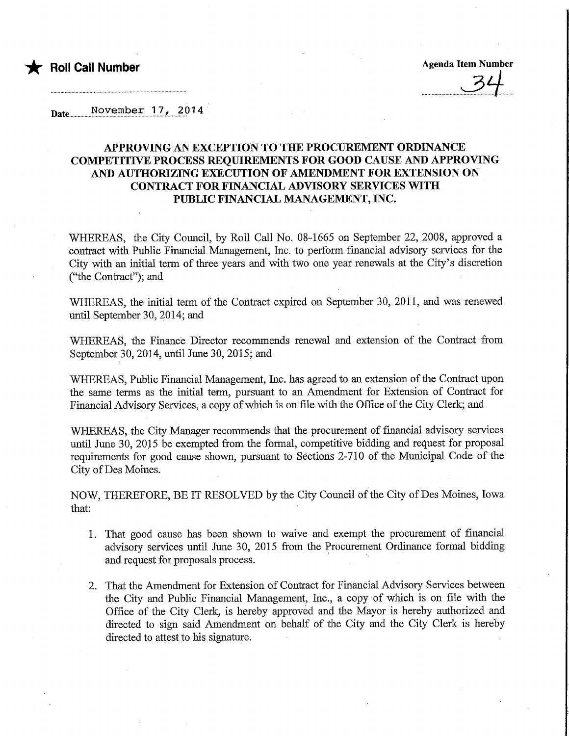

Date................No.vembe.r......l7.^......2.01 4

## APPROVING AN EXCEPTION TO THE PROCUREMENT ORDINANCE COMPETITFVE PROCESS REQUIREMENTS FOR GOOD CAUSE AND APPROVING AND AUTHORIZING EXECUTION OF AMENDMENT FOR EXTENSION ON CONTRACT FOR FINANCIAL ADVISORY SERVICES WITH PUBLIC FINANCIAL MANAGEMENT, INC.

WHEREAS, the City Council, by Roll Call No. 08-1665 on September 22, 2008, approved a contract with Public Financial Management, Inc. to perform financial advisory services for the City with an initial term of three years and with two one year renewals at the City's discretion ("the Contract"); and

WHEREAS, the initial term of the Contract expired on September 30, 2011, and was renewed until September 30, 2014; and

WHEREAS, the Finance Director recommends renewal and extension of the Contract from September 30, 2014, until June 30, 2015; and

WHEREAS, Public Financial Management, Inc. has agreed to an extension of the Contract upon the same terms as the initial term, pursuant to an Amendment for Extension of Contract for Financial Advisory Services, a copy of which is on file with the Office of the City Clerk; and

WHEREAS, the City Manager recommends that the procurement of financial advisory services until June 30, 2015 be exempted from the formal, competitive bidding and request for proposal requirements for good cause shown, pursuant to Sections 2-710 of the Municipal Code of the City of Des Moines.

NOW, THEREFORE, BE IT RESOLVED by the City Council of the City of Des Moines, Iowa that:

- 1. That good cause has been shown to waive and exempt the procurement of financial advisory services until June 30, 2015 from the Procurement Ordmance formal bidding and request for proposals process.
- 2. That the Amendment for Extension of Contract for Financial Advisory Services between the City and Public Financial Management, Inc., a copy of which is on file with the Office of the City Clerk, is hereby approved and the Mayor is hereby authorized and directed to sign said Amendment on behalf of the City and the City Clerk is hereby directed to attest to his signature.